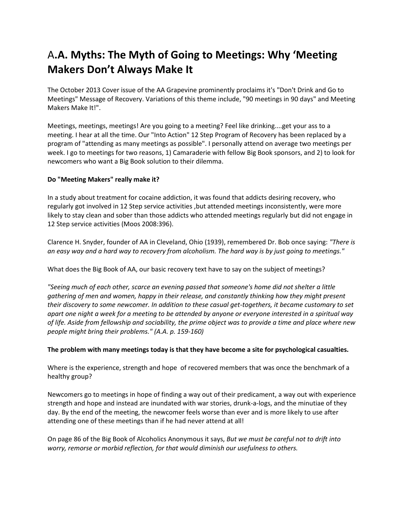# A**.A. Myths: The Myth of Going to Meetings: Why 'Meeting Makers Don't Always Make It**

The October 2013 Cover issue of the AA Grapevine prominently proclaims it's "Don't Drink and Go to Meetings" Message of Recovery. Variations of this theme include, "90 meetings in 90 days" and Meeting Makers Make It!".

Meetings, meetings, meetings! Are you going to a meeting? Feel like drinking....get your ass to a meeting. I hear at all the time. Our "Into Action" 12 Step Program of Recovery has been replaced by a program of "attending as many meetings as possible". I personally attend on average two meetings per week. I go to meetings for two reasons, 1) Camaraderie with fellow Big Book sponsors, and 2) to look for newcomers who want a Big Book solution to their dilemma.

## **Do "Meeting Makers" really make it?**

In a study about treatment for cocaine addiction, it was found that addicts desiring recovery, who regularly got involved in 12 Step service activities ,but attended meetings inconsistently, were more likely to stay clean and sober than those addicts who attended meetings regularly but did not engage in 12 Step service activities (Moos 2008:396).

Clarence H. Snyder, founder of AA in Cleveland, Ohio (1939), remembered Dr. Bob once saying: *"There is an easy way and a hard way to recovery from alcoholism. The hard way is by just going to meetings."*

What does the Big Book of AA, our basic recovery text have to say on the subject of meetings?

*"Seeing much of each other, scarce an evening passed that someone's home did not shelter a little gathering of men and women, happy in their release, and constantly thinking how they might present their discovery to some newcomer. In addition to these casual get-togethers, it became customary to set apart one night a week for a meeting to be attended by anyone or everyone interested in a spiritual way of life. Aside from fellowship and sociability, the prime object was to provide a time and place where new people might bring their problems." (A.A. p. 159-160)*

#### **The problem with many meetings today is that they have become a site for psychological casualties.**

Where is the experience, strength and hope of recovered members that was once the benchmark of a healthy group?

Newcomers go to meetings in hope of finding a way out of their predicament, a way out with experience strength and hope and instead are inundated with war stories, drunk-a-logs, and the minutiae of they day. By the end of the meeting, the newcomer feels worse than ever and is more likely to use after attending one of these meetings than if he had never attend at all!

On page 86 of the Big Book of Alcoholics Anonymous it says, *But we must be careful not to drift into worry, remorse or morbid reflection, for that would diminish our usefulness to others.*